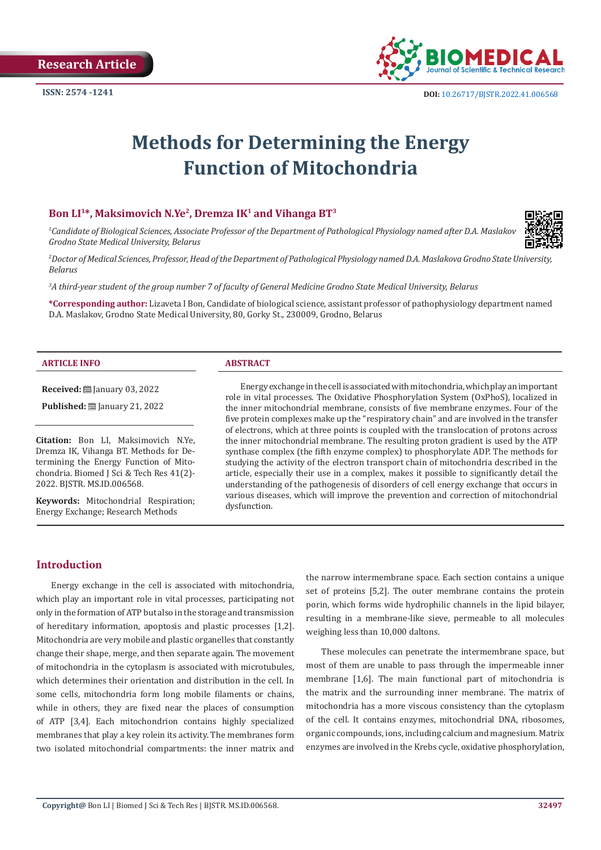

# **Methods for Determining the Energy Function of Mitochondria**

#### **Bon LI1\*, Maksimovich N.Ye2, Dremza IK1 and Vihanga BT3**

*1 Candidate of Biological Sciences, Associate Professor of the Department of Pathological Physiology named after D.A. Maslakov Grodno State Medical University, Belarus*



*2 Doctor of Medical Sciences, Professor, Head of the Department of Pathological Physiology named D.A. Maslakova Grodno State University, Belarus*

*3 A third-year student of the group number 7 of faculty of General Medicine Grodno State Medical University, Belarus*

**\*Corresponding author:** Lizaveta I Bon, Candidate of biological science, assistant professor of pathophysiology department named D.A. Maslakov, Grodno State Medical University, 80, Gorky St., 230009, Grodno, Belarus

#### **ARTICLE INFO ABSTRACT**

**Received:** January 03, 2022

**Published:** ■ January 21, 2022

**Citation:** Bon LI, Maksimovich N.Ye, Dremza IK, Vihanga BT. Methods for Determining the Energy Function of Mitochondria. Biomed J Sci & Tech Res 41(2)- 2022. BJSTR. MS.ID.006568.

**Keywords:** Mitochondrial Respiration; Energy Exchange; Research Methods

Energy exchange in the cell is associated with mitochondria, which play an important role in vital processes. The Oxidative Phosphorylation System (OxРhoS), localized in the inner mitochondrial membrane, consists of five membrane enzymes. Four of the five protein complexes make up the "respiratory chain" and are involved in the transfer of electrons, which at three points is coupled with the translocation of protons across the inner mitochondrial membrane. The resulting proton gradient is used by the ATP synthase complex (the fifth enzyme complex) to phosphorylate ADP. The methods for studying the activity of the electron transport chain of mitochondria described in the article, especially their use in a complex, makes it possible to significantly detail the understanding of the pathogenesis of disorders of cell energy exchange that occurs in various diseases, which will improve the prevention and correction of mitochondrial dysfunction.

#### **Introduction**

Energy exchange in the cell is associated with mitochondria, which play an important role in vital processes, participating not only in the formation of ATP but also in the storage and transmission of hereditary information, apoptosis and plastic processes [1,2]. Mitochondria are very mobile and plastic organelles that constantly change their shape, merge, and then separate again. The movement of mitochondria in the cytoplasm is associated with microtubules, which determines their orientation and distribution in the cell. In some cells, mitochondria form long mobile filaments or chains, while in others, they are fixed near the places of consumption of ATP [3,4]. Each mitochondrion contains highly specialized membranes that play a key rolein its activity. The membranes form two isolated mitochondrial compartments: the inner matrix and

the narrow intermembrane space. Each section contains a unique set of proteins [5,2]. The outer membrane contains the protein porin, which forms wide hydrophilic channels in the lipid bilayer, resulting in a membrane-like sieve, permeable to all molecules weighing less than 10,000 daltons.

These molecules can penetrate the intermembrane space, but most of them are unable to pass through the impermeable inner membrane [1,6]. The main functional part of mitochondria is the matrix and the surrounding inner membrane. The matrix of mitochondria has a more viscous consistency than the cytoplasm of the cell. It contains enzymes, mitochondrial DNA, ribosomes, organic compounds, ions, including calcium and magnesium. Matrix enzymes are involved in the Krebs cycle, oxidative phosphorylation,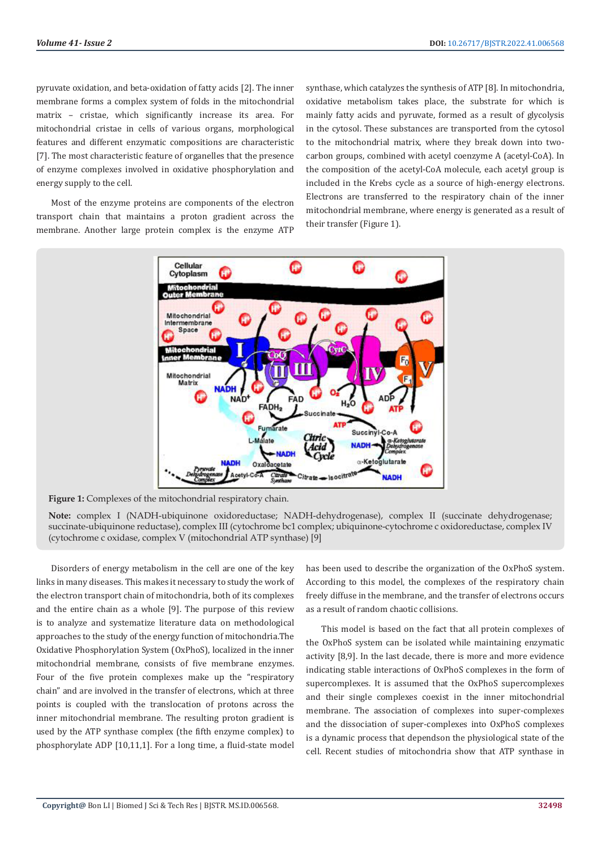pyruvate oxidation, and beta-oxidation of fatty acids [2]. The inner membrane forms a complex system of folds in the mitochondrial matrix – cristae, which significantly increase its area. For mitochondrial cristae in cells of various organs, morphological features and different enzymatic compositions are characteristic [7]. The most characteristic feature of organelles that the presence of enzyme complexes involved in oxidative phosphorylation and energy supply to the cell.

Most of the enzyme proteins are components of the electron transport chain that maintains a proton gradient across the membrane. Another large protein complex is the enzyme ATP synthase, which catalyzes the synthesis of ATP [8]. In mitochondria, oxidative metabolism takes place, the substrate for which is mainly fatty acids and pyruvate, formed as a result of glycolysis in the cytosol. These substances are transported from the cytosol to the mitochondrial matrix, where they break down into twocarbon groups, combined with acetyl coenzyme A (acetyl-CoA). In the composition of the acetyl-CoA molecule, each acetyl group is included in the Krebs cycle as a source of high-energy electrons. Electrons are transferred to the respiratory chain of the inner mitochondrial membrane, where energy is generated as a result of their transfer (Figure 1).



Figure 1: Complexes of the mitochondrial respiratory chain.

**Note:** complex I (NADH-ubiquinone oxidoreductase; NADH-dehydrogenase), complex II (succinate dehydrogenase; succinate-ubiquinone reductase), complex III (cytochrome bc1 complex; ubiquinone-cytochrome c oxidoreductase, complex IV (cytochrome c oxidase, complex V (mitochondrial ATP synthase) [9]

Disorders of energy metabolism in the cell are one of the key links in many diseases. This makes it necessary to study the work of the electron transport chain of mitochondria, both of its complexes and the entire chain as a whole [9]. The purpose of this review is to analyze and systematize literature data on methodological approaches to the study of the energy function of mitochondria.The Oxidative Phosphorylation System (OxРhoS), localized in the inner mitochondrial membrane, consists of five membrane enzymes. Four of the five protein complexes make up the "respiratory chain" and are involved in the transfer of electrons, which at three points is coupled with the translocation of protons across the inner mitochondrial membrane. The resulting proton gradient is used by the ATP synthase complex (the fifth enzyme complex) to phosphorylate ADP [10,11,1]. For a long time, a fluid-state model

has been used to describe the organization of the OxPhoS system. According to this model, the complexes of the respiratory chain freely diffuse in the membrane, and the transfer of electrons occurs as a result of random chaotic collisions.

This model is based on the fact that all protein complexes of the OxPhoS system can be isolated while maintaining enzymatic activity [8,9]. In the last decade, there is more and more evidence indicating stable interactions of OxPhoS complexes in the form of supercomplexes. It is assumed that the OxPhoS supercomplexes and their single complexes coexist in the inner mitochondrial membrane. The association of complexes into super-complexes and the dissociation of super-complexes into OxPhoS complexes is a dynamic process that dependson the physiological state of the cell. Recent studies of mitochondria show that ATP synthase in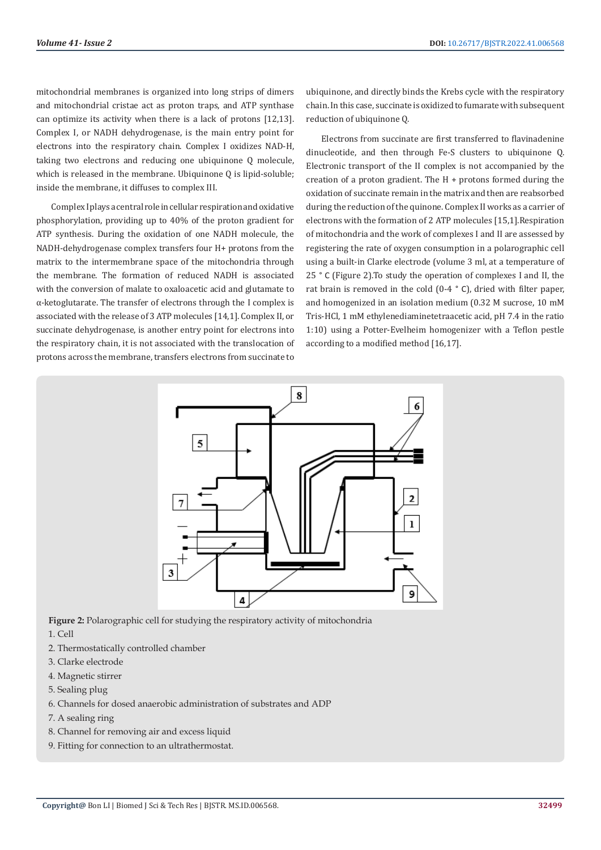mitochondrial membranes is organized into long strips of dimers and mitochondrial cristae act as proton traps, and ATP synthase can optimize its activity when there is a lack of protons [12,13]. Complex I, or NADH dehydrogenase, is the main entry point for electrons into the respiratory chain. Complex I oxidizes NAD-H, taking two electrons and reducing one ubiquinone Q molecule, which is released in the membrane. Ubiquinone Q is lipid-soluble; inside the membrane, it diffuses to complex III.

Complex I plays a central role in cellular respiration and oxidative phosphorylation, providing up to 40% of the proton gradient for ATP synthesis. During the oxidation of one NADH molecule, the NADH-dehydrogenase complex transfers four H+ protons from the matrix to the intermembrane space of the mitochondria through the membrane. The formation of reduced NADH is associated with the conversion of malate to oxaloacetic acid and glutamate to α-ketoglutarate. The transfer of electrons through the I complex is associated with the release of 3 ATP molecules [14,1]. Complex II, or succinate dehydrogenase, is another entry point for electrons into the respiratory chain, it is not associated with the translocation of protons across the membrane, transfers electrons from succinate to

ubiquinone, and directly binds the Krebs cycle with the respiratory chain. In this case, succinate is oxidized to fumarate with subsequent reduction of ubiquinone O.

Electrons from succinate are first transferred to flavinadenine dinucleotide, and then through Fe-S clusters to ubiquinone Q. Electronic transport of the II complex is not accompanied by the creation of a proton gradient. The H + protons formed during the oxidation of succinate remain in the matrix and then are reabsorbed during the reduction of the quinone. Complex II works as a carrier of electrons with the formation of 2 ATP molecules [15,1].Respiration of mitochondria and the work of complexes I and II are assessed by registering the rate of oxygen consumption in a polarographic cell using a built-in Clarke electrode (volume 3 ml, at a temperature of 25 ° C (Figure 2).To study the operation of complexes I and II, the rat brain is removed in the cold (0-4 ° C), dried with filter paper, and homogenized in an isolation medium (0.32 M sucrose, 10 mM Tris-HCl, 1 mM ethylenediaminetetraacetic acid, pH 7.4 in the ratio 1:10) using a Potter-Evelheim homogenizer with a Teflon pestle according to a modified method [16,17].



**Figure 2:** Polarographic cell for studying the respiratory activity of mitochondria

1. Cell

- 2. Thermostatically controlled chamber
- 3. Clarke electrode
- 4. Magnetic stirrer
- 5. Sealing plug
- 6. Channels for dosed anaerobic administration of substrates and ADP
- 7. A sealing ring
- 8. Channel for removing air and excess liquid
- 9. Fitting for connection to an ultrathermostat.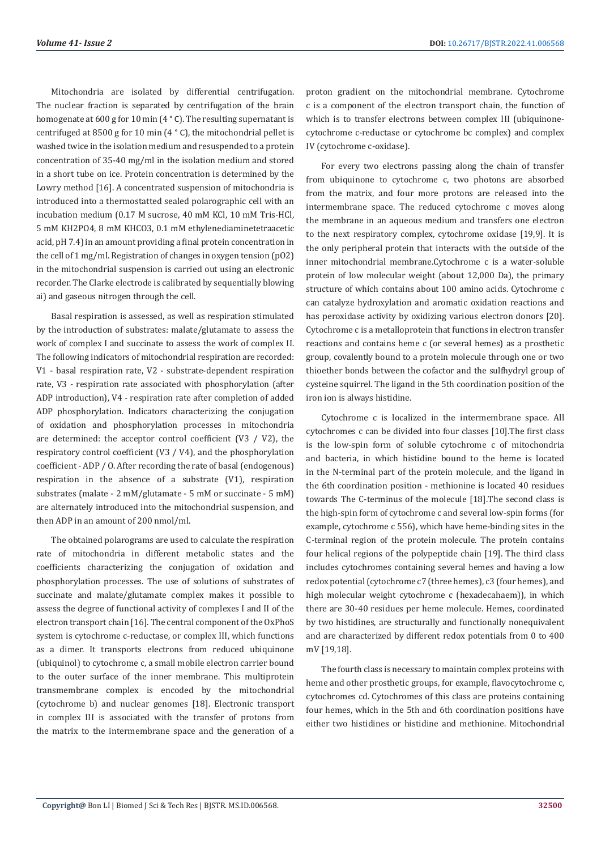Mitochondria are isolated by differential centrifugation. The nuclear fraction is separated by centrifugation of the brain homogenate at 600 g for 10 min (4 ° C). The resulting supernatant is centrifuged at 8500 g for 10 min (4 ° C), the mitochondrial pellet is washed twice in the isolation medium and resuspended to a protein concentration of 35-40 mg/ml in the isolation medium and stored in a short tube on ice. Protein concentration is determined by the Lowry method [16]. A concentrated suspension of mitochondria is introduced into a thermostatted sealed polarographic cell with an incubation medium (0.17 M sucrose, 40 mM KCl, 10 mM Tris-HCl, 5 mM KH2PO4, 8 mM KHCO3, 0.1 mM ethylenediaminetetraacetic acid, pH 7.4) in an amount providing a final protein concentration in the cell of 1 mg/ml. Registration of changes in oxygen tension (pO2) in the mitochondrial suspension is carried out using an electronic recorder. The Clarke electrode is calibrated by sequentially blowing ai) and gaseous nitrogen through the cell.

Basal respiration is assessed, as well as respiration stimulated by the introduction of substrates: malate/glutamate to assess the work of complex I and succinate to assess the work of complex II. The following indicators of mitochondrial respiration are recorded: V1 - basal respiration rate, V2 - substrate-dependent respiration rate, V3 - respiration rate associated with phosphorylation (after ADP introduction), V4 - respiration rate after completion of added ADP phosphorylation. Indicators characterizing the conjugation of oxidation and phosphorylation processes in mitochondria are determined: the acceptor control coefficient (V3 / V2), the respiratory control coefficient (V3 / V4), and the phosphorylation coefficient - ADP / O. After recording the rate of basal (endogenous) respiration in the absence of a substrate (V1), respiration substrates (malate - 2 mM/glutamate - 5 mM or succinate - 5 mM) are alternately introduced into the mitochondrial suspension, and then ADP in an amount of 200 nmol/ml.

The obtained polarograms are used to calculate the respiration rate of mitochondria in different metabolic states and the coefficients characterizing the conjugation of oxidation and phosphorylation processes. The use of solutions of substrates of succinate and malate/glutamate complex makes it possible to assess the degree of functional activity of complexes I and II of the electron transport chain [16]. The central component of the OxPhoS system is cytochrome c-reductase, or complex III, which functions as a dimer. It transports electrons from reduced ubiquinone (ubiquinol) to cytochrome c, a small mobile electron carrier bound to the outer surface of the inner membrane. This multiprotein transmembrane complex is encoded by the mitochondrial (cytochrome b) and nuclear genomes [18]. Electronic transport in complex III is associated with the transfer of protons from the matrix to the intermembrane space and the generation of a

proton gradient on the mitochondrial membrane. Cytochrome c is a component of the electron transport chain, the function of which is to transfer electrons between complex III (ubiquinonecytochrome c-reductase or cytochrome bc complex) and complex IV (cytochrome c-oxidase).

For every two electrons passing along the chain of transfer from ubiquinone to cytochrome c, two photons are absorbed from the matrix, and four more protons are released into the intermembrane space. The reduced cytochrome c moves along the membrane in an aqueous medium and transfers one electron to the next respiratory complex, cytochrome oxidase [19,9]. It is the only peripheral protein that interacts with the outside of the inner mitochondrial membrane.Cytochrome c is a water-soluble protein of low molecular weight (about 12,000 Da), the primary structure of which contains about 100 amino acids. Cytochrome c can catalyze hydroxylation and aromatic oxidation reactions and has peroxidase activity by oxidizing various electron donors [20]. Cytochrome c is a metalloprotein that functions in electron transfer reactions and contains heme c (or several hemes) as a prosthetic group, covalently bound to a protein molecule through one or two thioether bonds between the cofactor and the sulfhydryl group of cysteine squirrel. The ligand in the 5th coordination position of the iron ion is always histidine.

Cytochrome c is localized in the intermembrane space. All cytochromes c can be divided into four classes [10].The first class is the low-spin form of soluble cytochrome c of mitochondria and bacteria, in which histidine bound to the heme is located in the N-terminal part of the protein molecule, and the ligand in the 6th coordination position - methionine is located 40 residues towards The C-terminus of the molecule [18].The second class is the high-spin form of cytochrome c and several low-spin forms (for example, cytochrome c 556), which have heme-binding sites in the C-terminal region of the protein molecule. The protein contains four helical regions of the polypeptide chain [19]. The third class includes cytochromes containing several hemes and having a low redox potential (cytochrome c7 (three hemes), c3 (four hemes), and high molecular weight cytochrome c (hexadecahaem)), in which there are 30-40 residues per heme molecule. Hemes, coordinated by two histidines, are structurally and functionally nonequivalent and are characterized by different redox potentials from 0 to 400 mV [19,18].

The fourth class is necessary to maintain complex proteins with heme and other prosthetic groups, for example, flavocytochrome c, cytochromes cd. Cytochromes of this class are proteins containing four hemes, which in the 5th and 6th coordination positions have either two histidines or histidine and methionine. Mitochondrial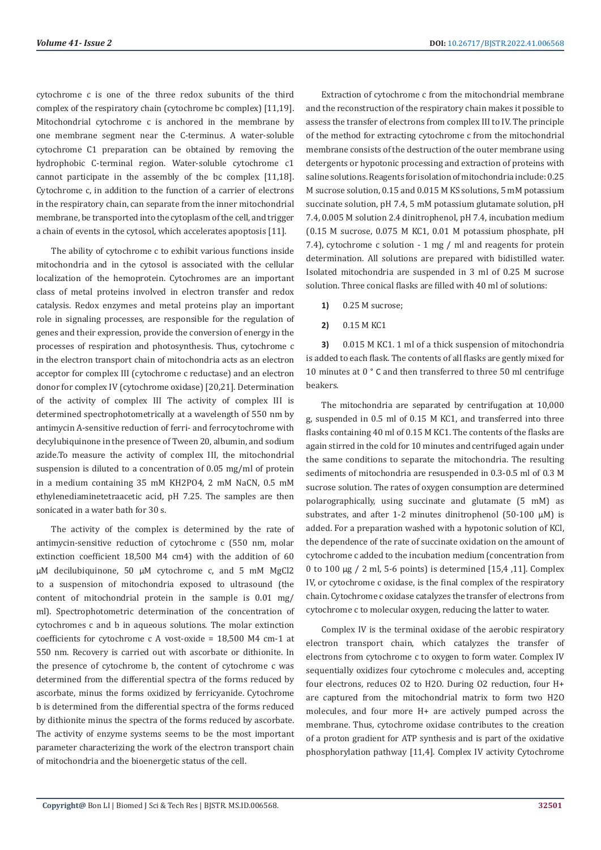cytochrome c is one of the three redox subunits of the third complex of the respiratory chain (cytochrome bc complex) [11,19]. Mitochondrial cytochrome c is anchored in the membrane by one membrane segment near the C-terminus. A water-soluble cytochrome C1 preparation can be obtained by removing the hydrophobic C-terminal region. Water-soluble cytochrome c1 cannot participate in the assembly of the bc complex [11,18]. Cytochrome c, in addition to the function of a carrier of electrons in the respiratory chain, can separate from the inner mitochondrial membrane, be transported into the cytoplasm of the cell, and trigger a chain of events in the cytosol, which accelerates apoptosis [11].

The ability of cytochrome c to exhibit various functions inside mitochondria and in the cytosol is associated with the cellular localization of the hemoprotein. Cytochromes are an important class of metal proteins involved in electron transfer and redox catalysis. Redox enzymes and metal proteins play an important role in signaling processes, are responsible for the regulation of genes and their expression, provide the conversion of energy in the processes of respiration and photosynthesis. Thus, cytochrome c in the electron transport chain of mitochondria acts as an electron acceptor for complex III (cytochrome c reductase) and an electron donor for complex IV (cytochrome oxidase) [20,21]. Determination of the activity of complex III The activity of complex III is determined spectrophotometrically at a wavelength of 550 nm by antimycin A-sensitive reduction of ferri- and ferrocytochrome with decylubiquinone in the presence of Tween 20, albumin, and sodium azide.To measure the activity of complex III, the mitochondrial suspension is diluted to a concentration of 0.05 mg/ml of protein in a medium containing 35 mM KH2PO4, 2 mM NaCN, 0.5 mM ethylenediaminetetraacetic acid, pH 7.25. The samples are then sonicated in a water bath for 30 s.

The activity of the complex is determined by the rate of antimycin-sensitive reduction of cytochrome c (550 nm, molar extinction coefficient 18,500 M4 cm4) with the addition of 60 μM decilubiquinone, 50 μM cytochrome c, and 5 mM MgCl2 to a suspension of mitochondria exposed to ultrasound (the content of mitochondrial protein in the sample is 0.01 mg/ ml). Spectrophotometric determination of the concentration of cytochromes c and b in aqueous solutions. The molar extinction coefficients for cytochrome c A vost-oxide = 18,500 M4 cm-1 at 550 nm. Recovery is carried out with ascorbate or dithionite. In the presence of cytochrome b, the content of cytochrome c was determined from the differential spectra of the forms reduced by ascorbate, minus the forms oxidized by ferricyanide. Cytochrome b is determined from the differential spectra of the forms reduced by dithionite minus the spectra of the forms reduced by ascorbate. The activity of enzyme systems seems to be the most important parameter characterizing the work of the electron transport chain of mitochondria and the bioenergetic status of the cell.

Extraction of cytochrome c from the mitochondrial membrane and the reconstruction of the respiratory chain makes it possible to assess the transfer of electrons from complex III to IV. The principle of the method for extracting cytochrome c from the mitochondrial membrane consists of the destruction of the outer membrane using detergents or hypotonic processing and extraction of proteins with saline solutions. Reagents for isolation of mitochondria include: 0.25 M sucrose solution, 0.15 and 0.015 M KS solutions, 5 mM potassium succinate solution, pH 7.4, 5 mM potassium glutamate solution, pH 7.4, 0.005 M solution 2.4 dinitrophenol, pH 7.4, incubation medium (0.15 M sucrose, 0.075 M KC1, 0.01 M potassium phosphate, pH 7.4), cytochrome c solution - 1 mg / ml and reagents for protein determination. All solutions are prepared with bidistilled water. Isolated mitochondria are suspended in 3 ml of 0.25 M sucrose solution. Three conical flasks are filled with 40 ml of solutions:

- **1)** 0.25 M sucrose;
- **2)** 0.15 M KC1

**3)** 0.015 M KC1. 1 ml of a thick suspension of mitochondria is added to each flask. The contents of all flasks are gently mixed for 10 minutes at 0 ° C and then transferred to three 50 ml centrifuge beakers.

The mitochondria are separated by centrifugation at 10,000 g, suspended in 0.5 ml of 0.15 M KC1, and transferred into three flasks containing 40 ml of 0.15 M KC1. The contents of the flasks are again stirred in the cold for 10 minutes and centrifuged again under the same conditions to separate the mitochondria. The resulting sediments of mitochondria are resuspended in 0.3-0.5 ml of 0.3 M sucrose solution. The rates of oxygen consumption are determined polarographically, using succinate and glutamate (5 mM) as substrates, and after 1-2 minutes dinitrophenol (50-100 μM) is added. For a preparation washed with a hypotonic solution of KCl, the dependence of the rate of succinate oxidation on the amount of cytochrome c added to the incubation medium (concentration from 0 to 100 μg / 2 ml, 5-6 points) is determined [15,4 ,11]. Complex IV, or cytochrome c oxidase, is the final complex of the respiratory chain. Cytochrome c oxidase catalyzes the transfer of electrons from cytochrome c to molecular oxygen, reducing the latter to water.

Complex IV is the terminal oxidase of the aerobic respiratory electron transport chain, which catalyzes the transfer of electrons from cytochrome c to oxygen to form water. Complex IV sequentially oxidizes four cytochrome c molecules and, accepting four electrons, reduces O2 to H2O. During O2 reduction, four H+ are captured from the mitochondrial matrix to form two H2O molecules, and four more H+ are actively pumped across the membrane. Thus, cytochrome oxidase contributes to the creation of a proton gradient for ATP synthesis and is part of the oxidative phosphorylation pathway [11,4]. Complex IV activity Cytochrome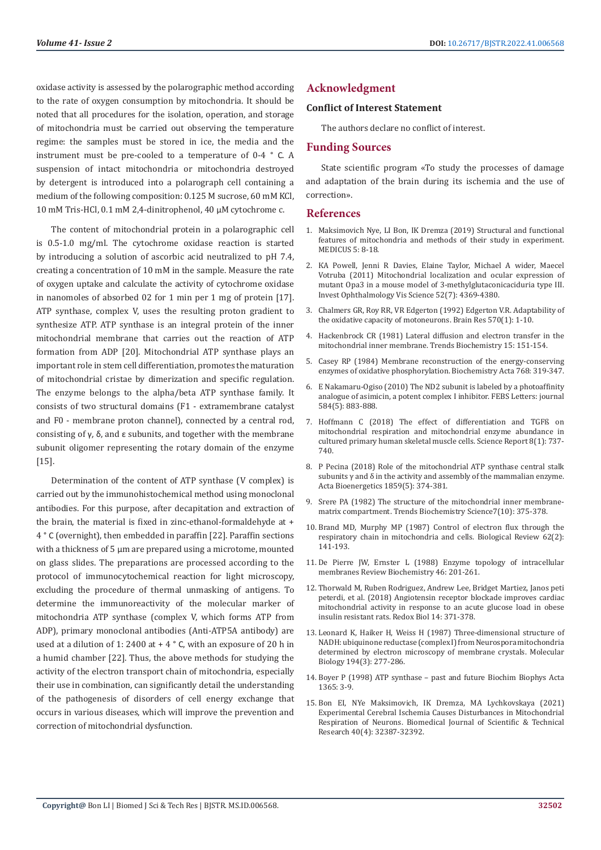oxidase activity is assessed by the polarographic method according to the rate of oxygen consumption by mitochondria. It should be noted that all procedures for the isolation, operation, and storage of mitochondria must be carried out observing the temperature regime: the samples must be stored in ice, the media and the instrument must be pre-cooled to a temperature of 0-4 ° C. A suspension of intact mitochondria or mitochondria destroyed by detergent is introduced into a polarograph cell containing a medium of the following composition: 0.125 M sucrose, 60 mM KCl, 10 mM Tris-HCl, 0.1 mM 2,4-dinitrophenol, 40 μM cytochrome c.

The content of mitochondrial protein in a polarographic cell is 0.5-1.0 mg/ml. The cytochrome oxidase reaction is started by introducing a solution of ascorbic acid neutralized to pH 7.4, creating a concentration of 10 mM in the sample. Measure the rate of oxygen uptake and calculate the activity of cytochrome oxidase in nanomoles of absorbed 02 for 1 min per 1 mg of protein [17]. ATP synthase, complex V, uses the resulting proton gradient to synthesize ATP. ATP synthase is an integral protein of the inner mitochondrial membrane that carries out the reaction of ATP formation from ADP [20]. Mitochondrial ATP synthase plays an important role in stem cell differentiation, promotes the maturation of mitochondrial cristae by dimerization and specific regulation. The enzyme belongs to the alpha/beta ATP synthase family. It consists of two structural domains (F1 - extramembrane catalyst and F0 - membrane proton channel), connected by a central rod, consisting of γ, δ, and ε subunits, and together with the membrane subunit oligomer representing the rotary domain of the enzyme [15].

Determination of the content of ATP synthase (V complex) is carried out by the immunohistochemical method using monoclonal antibodies. For this purpose, after decapitation and extraction of the brain, the material is fixed in zinc-ethanol-formaldehyde at + 4 ° C (overnight), then embedded in paraffin [22]. Paraffin sections with a thickness of 5 μm are prepared using a microtome, mounted on glass slides. The preparations are processed according to the protocol of immunocytochemical reaction for light microscopy, excluding the procedure of thermal unmasking of antigens. To determine the immunoreactivity of the molecular marker of mitochondria ATP synthase (complex V, which forms ATP from ADP), primary monoclonal antibodies (Anti-ATP5A antibody) are used at a dilution of 1: 2400 at  $+ 4$  ° C, with an exposure of 20 h in a humid chamber [22]. Thus, the above methods for studying the activity of the electron transport chain of mitochondria, especially their use in combination, can significantly detail the understanding of the pathogenesis of disorders of cell energy exchange that occurs in various diseases, which will improve the prevention and correction of mitochondrial dysfunction.

## **Acknowledgment**

#### **Conflict of Interest Statement**

The authors declare no conflict of interest.

### **Funding Sources**

State scientific program «To study the processes of damage and adaptation of the brain during its ischemia and the use of correction».

#### **References**

- 1. Maksimovich Nye, LI Bon, IK Dremza (2019) Structural and functional features of mitochondria and methods of their study in experiment. MEDICUS 5: 8-18.
- 2. КА [Powell, Jenni R Davies, Elaine Taylor, Michael A wider, Maecel](https://iovs.arvojournals.org/article.aspx?articleid=2187800) [Votruba \(2011\) Mitochondrial localization and ocular expression of](https://iovs.arvojournals.org/article.aspx?articleid=2187800) [mutant Opa3 in a mouse model of 3-methylglutaconicaciduria type III.](https://iovs.arvojournals.org/article.aspx?articleid=2187800) [Invest Ophthalmology Vis Science 52\(7\): 4369-4380.](https://iovs.arvojournals.org/article.aspx?articleid=2187800)
- 3. [Chalmers GR, Roy RR, VR Edgerton \(1992\) Edgerton V.R. Adaptability of](https://pubmed.ncbi.nlm.nih.gov/1617401/) [the oxidative capacity of motoneurons. Brain Res 570\(1\): 1-10.](https://pubmed.ncbi.nlm.nih.gov/1617401/)
- 4. [Hackenbrock CR \(1981\) Lateral diffusion and electron transfer in the](https://www.sciencedirect.com/science/article/abs/pii/0968000481900566) [mitochondrial inner membrane. Trends Biochemistry 15: 151-154.](https://www.sciencedirect.com/science/article/abs/pii/0968000481900566)
- 5. [Casey RP \(1984\) Membrane reconstruction of the energy-conserving](https://pubmed.ncbi.nlm.nih.gov/3300795/) [enzymes of oxidative phosphorylation. Biochemistry Acta 768: 319-347.](https://pubmed.ncbi.nlm.nih.gov/3300795/)
- 6. [E Nakamaru-Ogiso \(2010\) The ND2 subunit is labeled by a photoaffinity](https://www.ncbi.nlm.nih.gov/labs/pmc/articles/PMC2836797/) [analogue of asimicin, a potent complex I inhibitor. FEBS Letters: journal](https://www.ncbi.nlm.nih.gov/labs/pmc/articles/PMC2836797/) [584\(5\): 883-888.](https://www.ncbi.nlm.nih.gov/labs/pmc/articles/PMC2836797/)
- 7. [Hoffmann C \(2018\) The effect of differentiation and TGFß on](https://www.researchgate.net/publication/322506908_The_effect_of_differentiation_and_TGFb_on_mitochondrial_respiration_and_mitochondrial_enzyme_abundance_in_cultured_primary_human_skeletal_muscle_cells) [mitochondrial respiration and mitochondrial enzyme abundance in](https://www.researchgate.net/publication/322506908_The_effect_of_differentiation_and_TGFb_on_mitochondrial_respiration_and_mitochondrial_enzyme_abundance_in_cultured_primary_human_skeletal_muscle_cells) [cultured primary human skeletal muscle cells. Science Report 8\(1\): 737-](https://www.researchgate.net/publication/322506908_The_effect_of_differentiation_and_TGFb_on_mitochondrial_respiration_and_mitochondrial_enzyme_abundance_in_cultured_primary_human_skeletal_muscle_cells) [740.](https://www.researchgate.net/publication/322506908_The_effect_of_differentiation_and_TGFb_on_mitochondrial_respiration_and_mitochondrial_enzyme_abundance_in_cultured_primary_human_skeletal_muscle_cells)
- 8. Р Pecina (2018) Role of the mitochondrial ATP synthase central stalk subunits γ and δ in the activity and assembly of the mammalian enzyme. Acta Bioenergetics 1859(5): 374-381.
- 9. [Srere PA \(1982\) The structure of the mitochondrial inner membrane](https://www.sciencedirect.com/science/article/abs/pii/0968000482901190)[matrix compartment. Trends Biochemistry Science7\(10\): 375-378.](https://www.sciencedirect.com/science/article/abs/pii/0968000482901190)
- 10. [Brand MD, Murphy MP \(1987\) Control of electron flux through the](https://pubmed.ncbi.nlm.nih.gov/3300795/) [respiratory chain in mitochondria and cells. Biological Review 62\(2\):](https://pubmed.ncbi.nlm.nih.gov/3300795/) [141-193.](https://pubmed.ncbi.nlm.nih.gov/3300795/)
- 11. [De Pierre JW, Ernster L \(1988\) Enzyme topology of intracellular](https://pubmed.ncbi.nlm.nih.gov/197876/) [membranes Review Biochemistry 46: 201-261.](https://pubmed.ncbi.nlm.nih.gov/197876/)
- 12. Thorwald M, Ruben Rodriguez, Andrew Lee, Bridget Martiez, Janos peti peterdi, et al. (2018) Angiotensin receptor blockade improves cardiac mitochondrial activity in response to an acute glucose load in obese insulin resistant rats. Redox Biol 14: 371-378.
- 13. [Leonard K, Haiker H, Weiss H \(1987\) Three-dimensional structure of](https://pubmed.ncbi.nlm.nih.gov/2956429/) [NADH: ubiquinone reductase \(complex I\) from Neurospora mitochondria](https://pubmed.ncbi.nlm.nih.gov/2956429/) [determined by electron microscopy of membrane crystals. Моlecular](https://pubmed.ncbi.nlm.nih.gov/2956429/) [Biology 194\(3\): 277-286.](https://pubmed.ncbi.nlm.nih.gov/2956429/)
- 14. [Boyer P \(1998\) ATP synthase past and future Biochim Biophys Acta](https://pubmed.ncbi.nlm.nih.gov/9693715/) [1365: 3-9.](https://pubmed.ncbi.nlm.nih.gov/9693715/)
- 15. [Bon EI, NYe Maksimovich, IK Dremza, MA Lychkovskaya \(2021\)](https://biomedres.us/pdfs/BJSTR.MS.ID.006472.pdf) [Experimental Cerebral Ischemia Causes Disturbances in Mitochondrial](https://biomedres.us/pdfs/BJSTR.MS.ID.006472.pdf) [Respiration of Neurons. Biomedical Journal of Scientific & Technical](https://biomedres.us/pdfs/BJSTR.MS.ID.006472.pdf) [Research 40\(4\): 32387-32392.](https://biomedres.us/pdfs/BJSTR.MS.ID.006472.pdf)